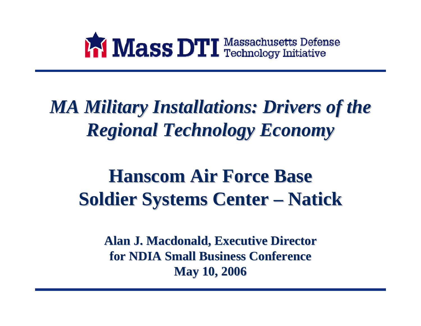

## *MA Military Installations: Drivers of the Regional Technology Economy Regional Technology Economy*

#### **Hanscom Hanscom Air Force Base Air Force Base Soldier Systems Center –- Natick**

**Alan J. Macdonald, Executive Director Alan J. Macdonald, Executive Director for NDIA Small Business Conference for NDIA Small Business ConferenceMay 10, 2006 May 10, 2006**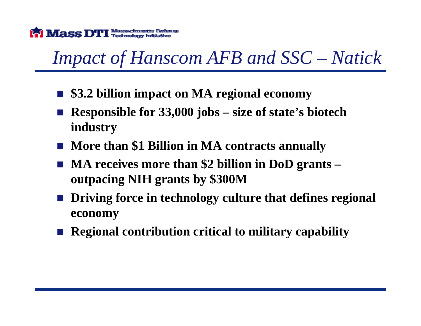

# *Impact of Hanscom AFB and SSC – Natick*

- **\$3.2 billion impact on MA regional economy**
- $\mathcal{L}^{\text{max}}_{\text{max}}$  **Responsible for 33,000 jobs – size of state's biotech industry**
- **More than \$1 Billion in MA contracts annually**
- MA receives more than \$2 billion in DoD grants **outpacing NIH grants by \$300M**
- Driving force in technology culture that defines regional **economy**
- Regional contribution critical to military capability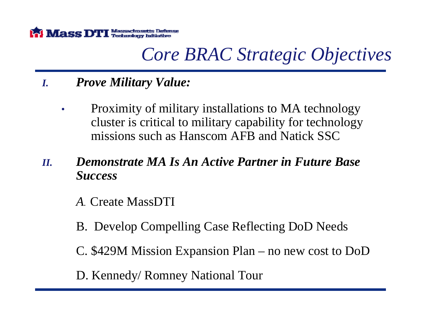

## *Core BRAC Strategic Objectives*

#### *I.Prove Military Value:*

- • Proximity of military installations to MA technology cluster is critical to military capability for technology missions such as Hanscom AFB and Natick SSC
- *II. Demonstrate MA Is An Active Partner in Future Base Success*
	- *A.* Create MassDTI
	- B. Develop Compelling Case Reflecting DoD Needs
	- C. \$429M Mission Expansion Plan no new cost to DoD
	- D. Kennedy/ Romney National Tour